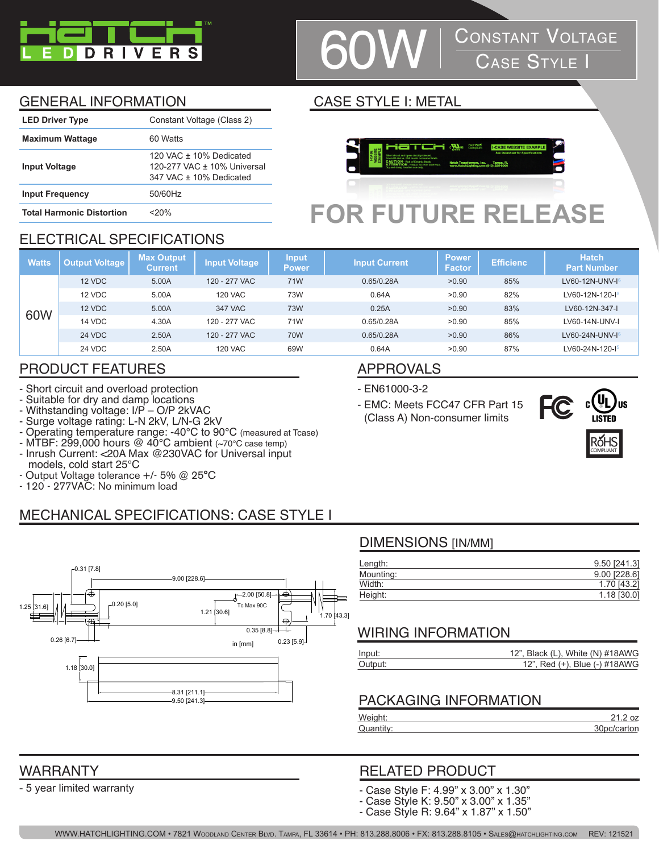

# **CONSTANT VOLTAGE**<br>CASE STYLE I

### GENERAL INFORMATION CASE STYLE I: METAL

| <b>LED Driver Type</b>           | Constant Voltage (Class 2)                                                          |
|----------------------------------|-------------------------------------------------------------------------------------|
| <b>Maximum Wattage</b>           | 60 Watts                                                                            |
| <b>Input Voltage</b>             | 120 VAC $+$ 10% Dedicated<br>120-277 VAC ± 10% Universal<br>347 VAC + 10% Dedicated |
| <b>Input Frequency</b>           | 50/60Hz                                                                             |
| <b>Total Harmonic Distortion</b> | <20%                                                                                |



## **FOR FUTURE RELEASE**

#### ELECTRICAL SPECIFICATIONS

| <b>Watts</b> | <b>Output Voltage</b> | <b>Max Output</b><br><b>Current</b> | <b>Input Voltage</b> | <b>Input</b><br><b>Power</b> | <b>Input Current</b> | <b>Power</b><br><b>Factor</b> | <b>Efficienc</b> | <b>Hatch</b><br><b>Part Number</b> |
|--------------|-----------------------|-------------------------------------|----------------------|------------------------------|----------------------|-------------------------------|------------------|------------------------------------|
|              | 12 VDC                | 5.00A                               | 120 - 277 VAC        | 71W                          | 0.65/0.28A           | >0.90                         | 85%              | LV60-12N-UNV- $Is$                 |
|              | 12 VDC                | 5.00A                               | <b>120 VAC</b>       | 73W                          | 0.64A                | >0.90                         | 82%              | LV60-12N-120-IS                    |
|              | 12 VDC                | 5.00A                               | 347 VAC              | <b>73W</b>                   | 0.25A                | >0.90                         | 83%              | LV60-12N-347-I                     |
| 60W          | 14 VDC                | 4.30A                               | 120 - 277 VAC        | 71W                          | 0.65/0.28A           | >0.90                         | 85%              | LV60-14N-UNV-I                     |
|              | <b>24 VDC</b>         | 2.50A                               | 120 - 277 VAC        | 70W                          | 0.65/0.28A           | >0.90                         | 86%              | LV60-24N-UNV- $I^s$                |
|              | <b>24 VDC</b>         | 2.50A                               | <b>120 VAC</b>       | 69W                          | 0.64A                | >0.90                         | 87%              | LV60-24N-120-I <sup>s</sup>        |

### PRODUCT FEATURES APPROVALS

- Short circuit and overload protection
- Suitable for dry and damp locations
- Withstanding voltage: I/P O/P 2kVAC
- Surge voltage rating: L-N 2kV, L/N-G 2kV
- Operating temperature range: -40°C to 90°C (measured at Tcase)
- MTBF: 299,000 hours @ 40°C ambient (~70°C case temp) - Inrush Current: <20A Max @230VAC for Universal input
- models, cold start 25°C
- Output Voltage tolerance +/- 5% @ 25°C
- 120 277VAC: No minimum load

### MECHANICAL SPECIFICATIONS: CASE STYLE I



#### DIMENSIONS [IN/MM]

- EMC: Meets FCC47 CFR Part 15 (Class A) Non-consumer limits

- EN61000-3-2

| Length:   | 9.50 [241.3]   |
|-----------|----------------|
| Mounting: | $9.00$ [228.6] |
| Width:    | 1.70 [43.2]    |
| Height:   | 1.18 [30.0]    |

#### WIRING INFORMATION

| Input:  | 12", Black (L), White (N) $\#18AWG$ |
|---------|-------------------------------------|
| Output: | 12", Red (+), Blue (-) #18AWG       |

#### PACKAGING INFORMATION

| Weight:   |             |
|-----------|-------------|
| Quantity: | 30pc/carton |
|           |             |

### RELATED PRODUCT

- Case Style F: 4.99" x 3.00" x 1.30"
- Case Style K: 9.50" x 3.00" x 1.35"
- Case Style R: 9.64" x 1.87" x 1.50"



#### WARRANTY

- 5 year limited warranty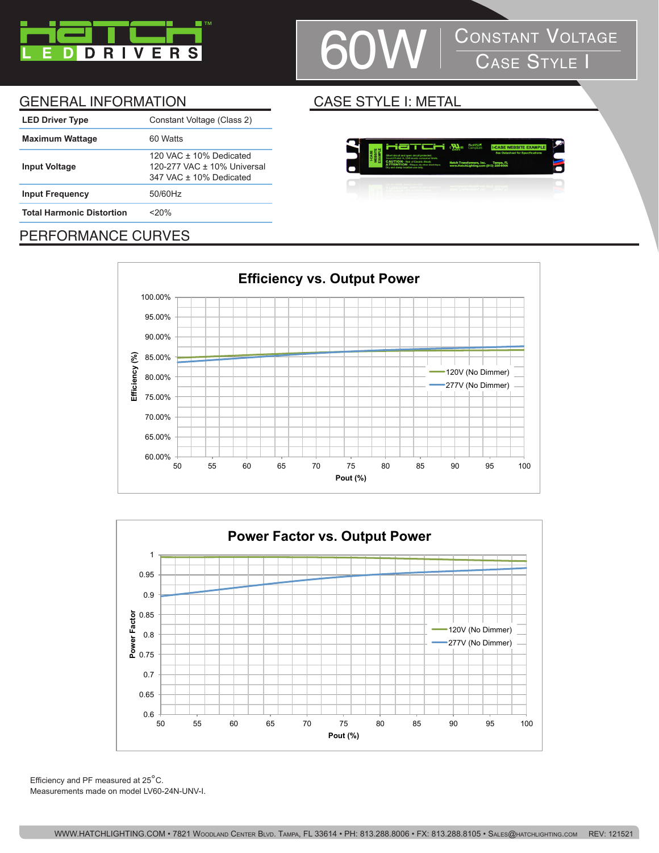

## | CONSTANT VOLTAGE<br>| CASE STYLE I

#### GENERAL INFORMATION CASE STYLE I: METAL

| <b>LED Driver Type</b>           | Constant Voltage (Class 2)                                                          |
|----------------------------------|-------------------------------------------------------------------------------------|
| <b>Maximum Wattage</b>           | 60 Watts                                                                            |
| <b>Input Voltage</b>             | 120 VAC $+$ 10% Dedicated<br>120-277 VAC ± 10% Universal<br>347 VAC + 10% Dedicated |
| <b>Input Frequency</b>           | 50/60Hz                                                                             |
| <b>Total Harmonic Distortion</b> | <20%                                                                                |
|                                  |                                                                                     |



### PERFORMANCE CURVES





Efficiency and PF measured at 25°C. Measurements made on model LV60-24N-UNV-I.